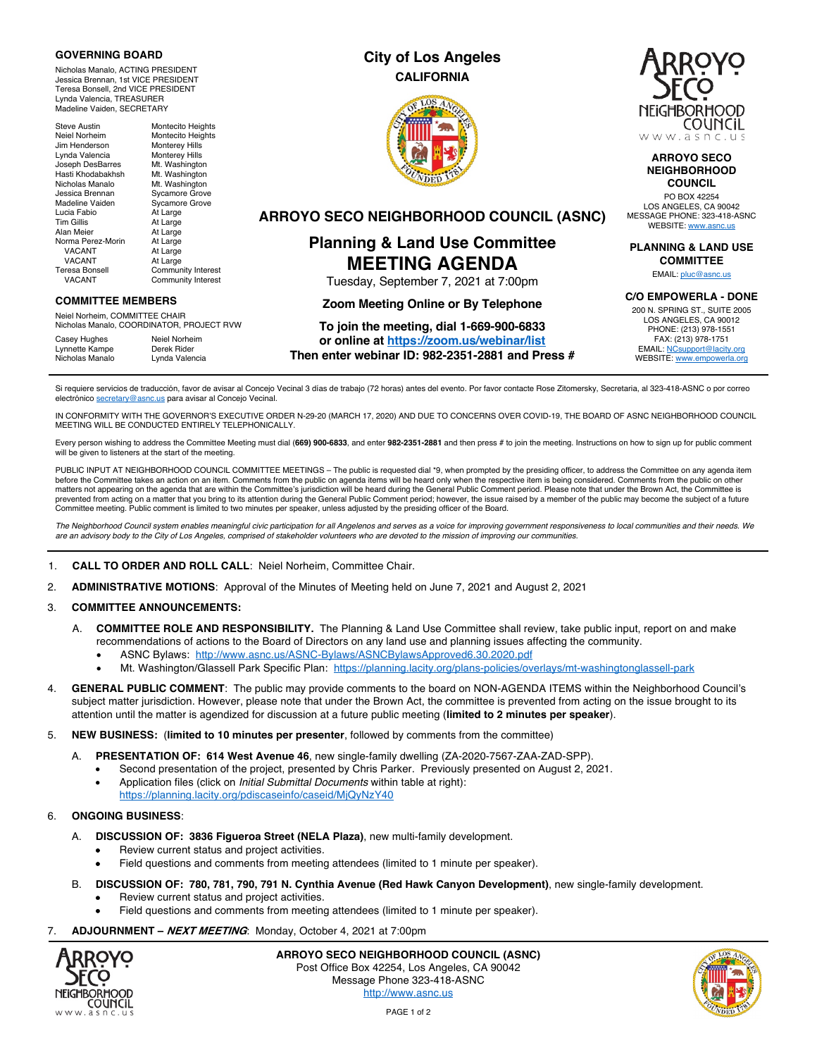#### **GOVERNING BOARD**

Nicholas Manalo, ACTING PRESIDENT Jessica Brennan, 1st VICE PRESIDENT Teresa Bonsell, 2nd VICE PRESIDENT Lynda Valencia, TREASURER Madeline Vaiden, SECRETARY

Steve Austin Montecito Heights Neiel Norheim Montecito Heights<br>
Jim Henderson Monterev Hills Jim Henderson Monterey Hills<br>
Lynda Valencia Monterey Hills Lynda Valencia<br>Joseph DesBarres Joseph DesBarres Mt. Washington Mt. Washington<br>Mt. Washington Nicholas Manalo<br>Jessica Brennan Jessica Brennan Sycamore Grove Sycamore Grove<br>At Large Lucia Fabio<br>Tim Gillis Tim Gillis At Large<br>Alan Meier At Large At Large<br>At Large Norma Perez-Morin VACANT At Large<br>VACANT At Large VACANT<br>Teresa Bonsell Community Interest VACANT Community Interest

#### **COMMITTEE MEMBERS**

Neiel Norheim, COMMITTEE CHAIR Nicholas Manalo, COORDINATOR, PROJECT RVW

Casey Hughes Neiel Norheim<br>
Lynnette Kampe Derek Rider Lynnette Kampe<br>Nicholas Manalo Lynda Valencia

## **City of Los Angeles CALIFORNIA**





#### **ARROYO SECO NEIGHBORHOOD COUNCIL**

PO BOX 42254 LOS ANGELES, CA 90042 MESSAGE PHONE: 323-418-ASNC WEBSITE: www.asnc.us

**PLANNING & LAND USE COMMITTEE**

EMAIL: pluc@asnc.us

**C/O EMPOWERLA - DONE**

200 N. SPRING ST., SUITE 2005 LOS ANGELES, CA 90012 PHONE: (213) 978-1551 FAX: (213) 978-1751 EMAIL: NCsupport@lacity.org WEBSITE: www.empowerla.org

**ARROYO SECO NEIGHBORHOOD COUNCIL (ASNC)**

# **Planning & Land Use Committee MEETING AGENDA**

Tuesday, September 7, 2021 at 7:00pm

## **Zoom Meeting Online or By Telephone**

#### **To join the meeting, dial 1-669-900-6833 or online at https://zoom.us/webinar/list**

**Then enter webinar ID: 982-2351-2881 and Press #**

Si requiere servicios de traducción, favor de avisar al Concejo Vecinal 3 días de trabajo (72 horas) antes del evento. Por favor contacte Rose Zitomersky, Secretaria, al 323-418-ASNC o por correo electrónico secretary@asnc.us para avisar al Concejo Vecinal.

IN CONFORMITY WITH THE GOVERNOR'S EXECUTIVE ORDER N-29-20 (MARCH 17, 2020) AND DUE TO CONCERNS OVER COVID-19, THE BOARD OF ASNC NEIGHBORHOOD COUNCIL MEETING WILL BE CONDUCTED ENTIRELY TELEPHONICALLY.

Every person wishing to address the Committee Meeting must dial (**669) 900-6833**, and enter **982-2351-2881** and then press # to join the meeting. Instructions on how to sign up for public comment will be given to listeners at the start of the meeting.

PUBLIC INPUT AT NEIGHBORHOOD COUNCIL COMMITTEE MEETINGS – The public is requested dial \*9, when prompted by the presiding officer, to address the Committee on any agenda item before the Committee takes an action on an item. Comments from the public on agenda items will be heard only when the respective item is being considered. Comments from the public on other matters not appearing on the agenda that are within the Committee's jurisdiction will be heard during the General Public Comment period. Please note that under the Brown Act, the Committee is prevented from acting on a matter that you bring to its attention during the General Public Comment period; however, the issue raised by a member of the public may become the subject of a future Committee meeting. Public comment is limited to two minutes per speaker, unless adjusted by the presiding officer of the Board.

*The Neighborhood Council system enables meaningful civic participation for all Angelenos and serves as a voice for improving government responsiveness to local communities and their needs. We are an advisory body to the City of Los Angeles, comprised of stakeholder volunteers who are devoted to the mission of improving our communities.*

#### 1. **CALL TO ORDER AND ROLL CALL**: Neiel Norheim, Committee Chair.

2. **ADMINISTRATIVE MOTIONS**: Approval of the Minutes of Meeting held on June 7, 2021 and August 2, 2021

#### 3. **COMMITTEE ANNOUNCEMENTS:**

- A. **COMMITTEE ROLE AND RESPONSIBILITY.** The Planning & Land Use Committee shall review, take public input, report on and make recommendations of actions to the Board of Directors on any land use and planning issues affecting the community.
	- ASNC Bylaws: http://www.asnc.us/ASNC-Bylaws/ASNCBylawsApproved6.30.2020.pdf
	- Mt. Washington/Glassell Park Specific Plan: https://planning.lacity.org/plans-policies/overlays/mt-washingtonglassell-park
- 4. **GENERAL PUBLIC COMMENT**: The public may provide comments to the board on NON-AGENDA ITEMS within the Neighborhood Council's subject matter jurisdiction. However, please note that under the Brown Act, the committee is prevented from acting on the issue brought to its attention until the matter is agendized for discussion at a future public meeting (**limited to 2 minutes per speaker**).
- 5. **NEW BUSINESS:** (**limited to 10 minutes per presenter**, followed by comments from the committee)
	- A. **PRESENTATION OF: 614 West Avenue 46**, new single-family dwelling (ZA-2020-7567-ZAA-ZAD-SPP).
		- Second presentation of the project, presented by Chris Parker. Previously presented on August 2, 2021.
		- Application files (click on *Initial Submittal Documents* within table at right): https://planning.lacity.org/pdiscaseinfo/caseid/MjQyNzY40

#### 6. **ONGOING BUSINESS**:

- A. **DISCUSSION OF: 3836 Figueroa Street (NELA Plaza)**, new multi-family development.
	- Review current status and project activities.
	- Field questions and comments from meeting attendees (limited to 1 minute per speaker).
- B. **DISCUSSION OF: 780, 781, 790, 791 N. Cynthia Avenue (Red Hawk Canyon Development)**, new single-family development.
	- Review current status and project activities.
	- Field questions and comments from meeting attendees (limited to 1 minute per speaker).
- 7. **ADJOURNMENT – NEXT MEETING**: Monday, October 4, 2021 at 7:00pm



**ARROYO SECO NEIGHBORHOOD COUNCIL (ASNC)** Post Office Box 42254, Los Angeles, CA 90042 Message Phone 323-418-ASNC http://www.asnc.us